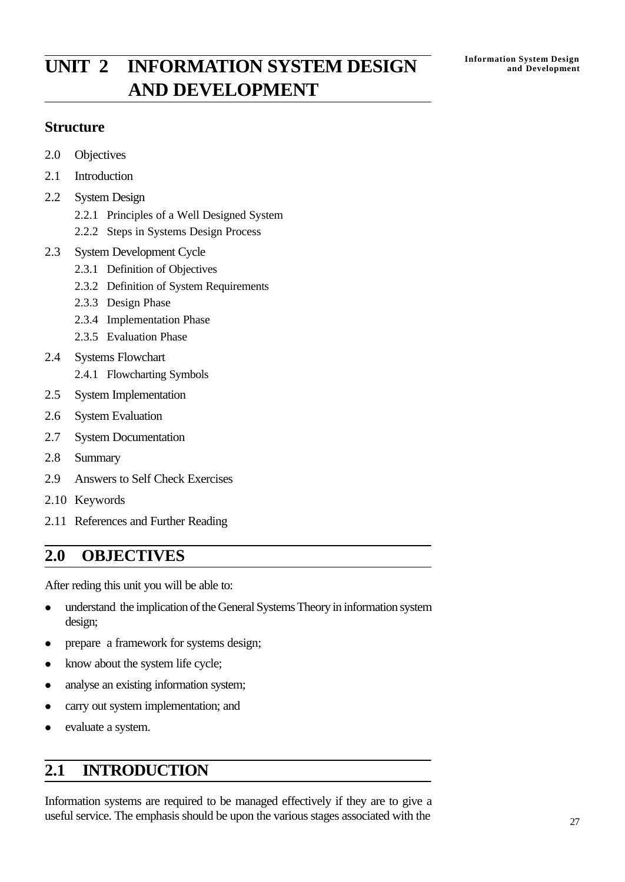# **INIT** 2 **INFORMATION SYSTEM DESIGN Information System Design** and Development **AND DEVELOPMENT**

## **Structure**

- 2.0 Objectives
- 2.1 Introduction
- 2.2 System Design
	- 2.2.1 Principles of a Well Designed System
	- 2.2.2 Steps in Systems Design Process
- 2.3 System Development Cycle
	- 2.3.1 Definition of Objectives
	- 2.3.2 Definition of System Requirements
	- 2.3.3 Design Phase
	- 2.3.4 Implementation Phase
	- 2.3.5 Evaluation Phase
- 2.4 Systems Flowchart
	- 2.4.1 Flowcharting Symbols
- 2.5 System Implementation
- 2.6 System Evaluation
- 2.7 System Documentation
- 2.8 Summary
- 2.9 Answers to Self Check Exercises
- 2.10 Keywords
- 2.11 References and Further Reading

# **2.0 OBJECTIVES**

After reding this unit you will be able to:

- understand the implication of the General Systems Theory in information system design;
- prepare a framework for systems design;
- know about the system life cycle;
- analyse an existing information system;
- carry out system implementation; and
- evaluate a system.

# **2.1 INTRODUCTION**

Information systems are required to be managed effectively if they are to give a useful service. The emphasis should be upon the various stages associated with the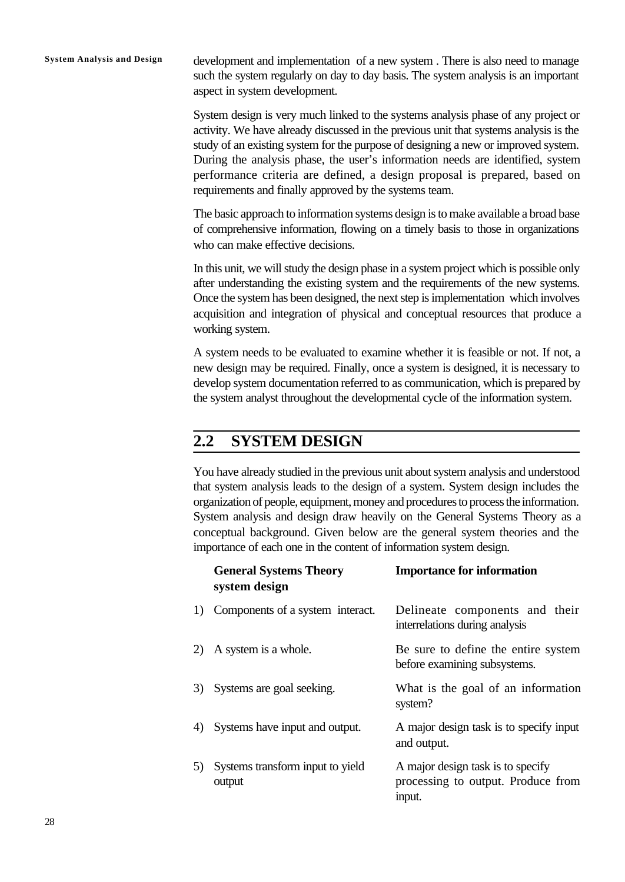**System Analysis and Design** development and implementation of a new system . There is also need to manage such the system regularly on day to day basis. The system analysis is an important aspect in system development.

> System design is very much linked to the systems analysis phase of any project or activity. We have already discussed in the previous unit that systems analysis is the study of an existing system for the purpose of designing a new or improved system. During the analysis phase, the user's information needs are identified, system performance criteria are defined, a design proposal is prepared, based on requirements and finally approved by the systems team.

> The basic approach to information systems design is to make available a broad base of comprehensive information, flowing on a timely basis to those in organizations who can make effective decisions.

> In this unit, we will study the design phase in a system project which is possible only after understanding the existing system and the requirements of the new systems. Once the system has been designed, the next step is implementation which involves acquisition and integration of physical and conceptual resources that produce a working system.

> A system needs to be evaluated to examine whether it is feasible or not. If not, a new design may be required. Finally, once a system is designed, it is necessary to develop system documentation referred to as communication, which is prepared by the system analyst throughout the developmental cycle of the information system.

# **2.2 SYSTEM DESIGN**

You have already studied in the previous unit about system analysis and understood that system analysis leads to the design of a system. System design includes the organization of people, equipment, money and procedures to process the information. System analysis and design draw heavily on the General Systems Theory as a conceptual background. Given below are the general system theories and the importance of each one in the content of information system design.

|    | <b>General Systems Theory</b><br>system design | <b>Importance for information</b>                                                 |
|----|------------------------------------------------|-----------------------------------------------------------------------------------|
| 1) | Components of a system interact.               | Delineate components and their<br>interrelations during analysis                  |
|    | 2) A system is a whole.                        | Be sure to define the entire system<br>before examining subsystems.               |
| 3) | Systems are goal seeking.                      | What is the goal of an information<br>system?                                     |
| 4) | Systems have input and output.                 | A major design task is to specify input<br>and output.                            |
| 5) | Systems transform input to yield<br>output     | A major design task is to specify<br>processing to output. Produce from<br>input. |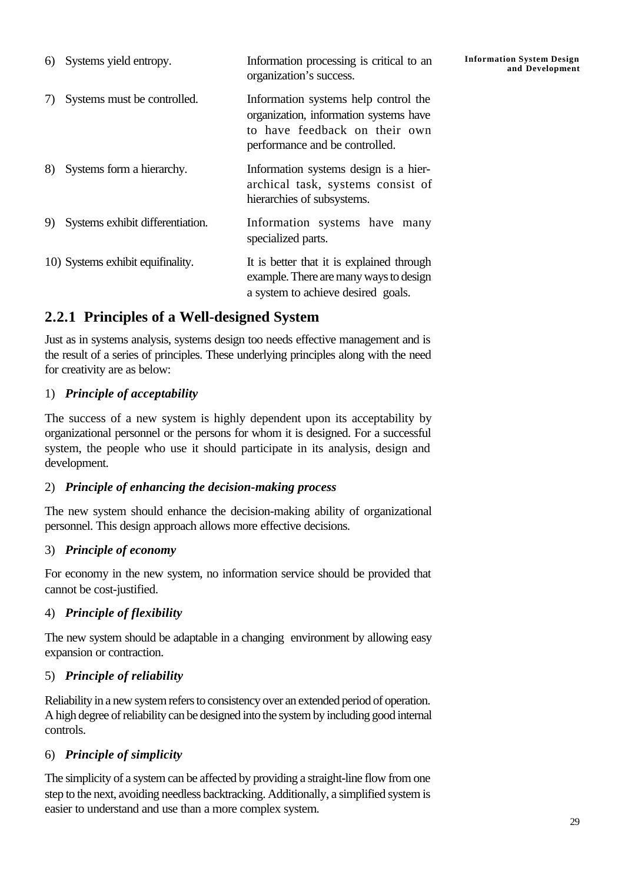| 6) | Systems yield entropy.            | Information processing is critical to an<br>organization's success.                                                                               | <b>Information System Design</b><br>and Development |
|----|-----------------------------------|---------------------------------------------------------------------------------------------------------------------------------------------------|-----------------------------------------------------|
|    | Systems must be controlled.       | Information systems help control the<br>organization, information systems have<br>to have feedback on their own<br>performance and be controlled. |                                                     |
| 8) | Systems form a hierarchy.         | Information systems design is a hier-<br>archical task, systems consist of<br>hierarchies of subsystems.                                          |                                                     |
| 9) | Systems exhibit differentiation.  | Information systems have many<br>specialized parts.                                                                                               |                                                     |
|    | 10) Systems exhibit equifinality. | It is better that it is explained through<br>example. There are many ways to design<br>a system to achieve desired goals.                         |                                                     |

# **2.2.1 Principles of a Well-designed System**

Just as in systems analysis, systems design too needs effective management and is the result of a series of principles. These underlying principles along with the need for creativity are as below:

## 1) *Principle of acceptability*

The success of a new system is highly dependent upon its acceptability by organizational personnel or the persons for whom it is designed. For a successful system, the people who use it should participate in its analysis, design and development.

### 2) *Principle of enhancing the decision-making process*

The new system should enhance the decision-making ability of organizational personnel. This design approach allows more effective decisions.

## 3) *Principle of economy*

For economy in the new system, no information service should be provided that cannot be cost-justified.

## 4) *Principle of flexibility*

The new system should be adaptable in a changing environment by allowing easy expansion or contraction.

## 5) *Principle of reliability*

Reliability in a new system refers to consistency over an extended period of operation. A high degree of reliability can be designed into the system by including good internal controls.

## 6) *Principle of simplicity*

The simplicity of a system can be affected by providing a straight-line flow from one step to the next, avoiding needless backtracking. Additionally, a simplified system is easier to understand and use than a more complex system.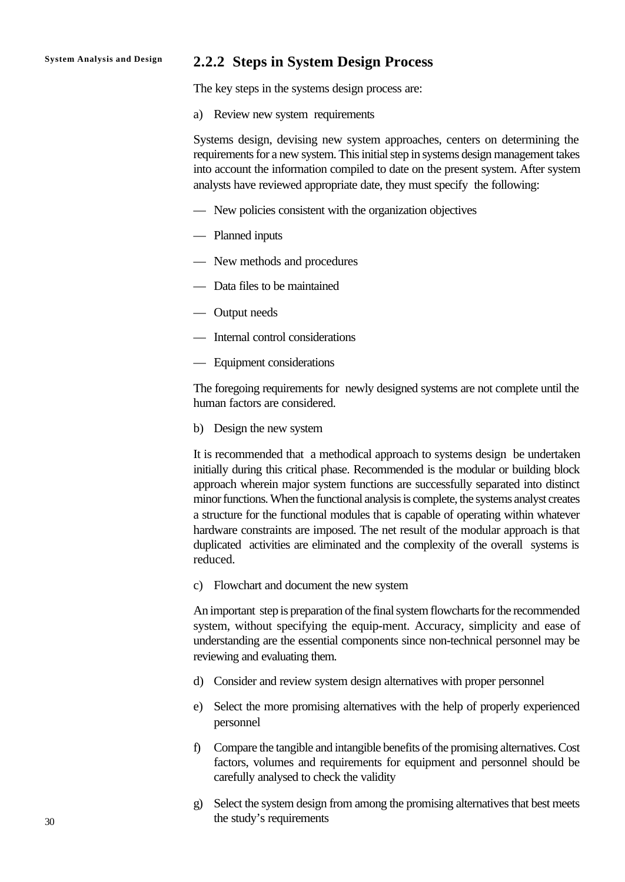### **System Analysis and Design 2.2.2 Steps in System Design Process**

The key steps in the systems design process are:

a) Review new system requirements

Systems design, devising new system approaches, centers on determining the requirements for a new system. This initial step in systems design management takes into account the information compiled to date on the present system. After system analysts have reviewed appropriate date, they must specify the following:

- New policies consistent with the organization objectives
- Planned inputs
- New methods and procedures
- Data files to be maintained
- Output needs
- Internal control considerations
- Equipment considerations

The foregoing requirements for newly designed systems are not complete until the human factors are considered.

b) Design the new system

It is recommended that a methodical approach to systems design be undertaken initially during this critical phase. Recommended is the modular or building block approach wherein major system functions are successfully separated into distinct minor functions. When the functional analysis is complete, the systems analyst creates a structure for the functional modules that is capable of operating within whatever hardware constraints are imposed. The net result of the modular approach is that duplicated activities are eliminated and the complexity of the overall systems is reduced.

c) Flowchart and document the new system

An important step is preparation of the final system flowcharts for the recommended system, without specifying the equip-ment. Accuracy, simplicity and ease of understanding are the essential components since non-technical personnel may be reviewing and evaluating them.

- d) Consider and review system design alternatives with proper personnel
- e) Select the more promising alternatives with the help of properly experienced personnel
- f) Compare the tangible and intangible benefits of the promising alternatives. Cost factors, volumes and requirements for equipment and personnel should be carefully analysed to check the validity
- g) Select the system design from among the promising alternatives that best meets the study's requirements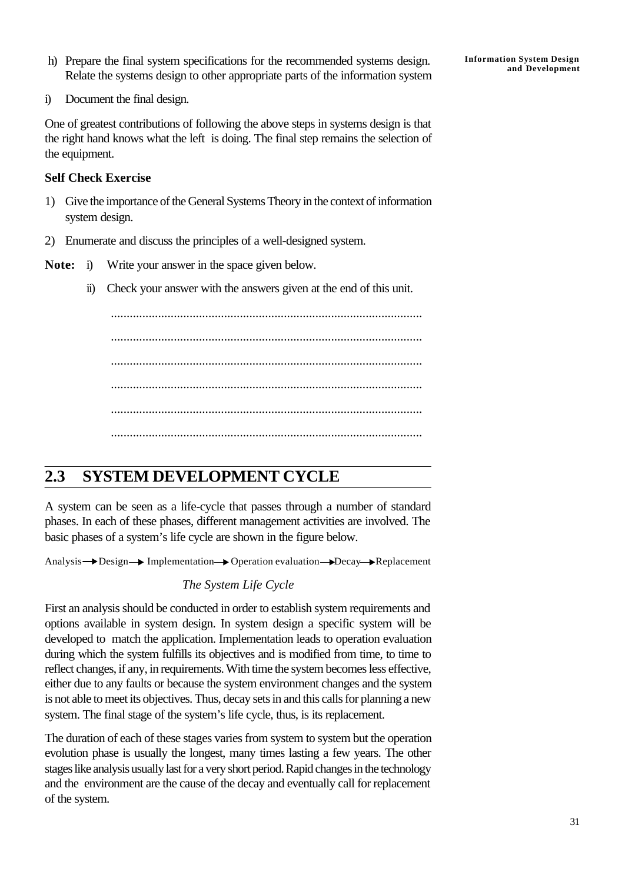h) Prepare the final system specifications for the recommended systems design. Relate the systems design to other appropriate parts of the information system

i) Document the final design.

One of greatest contributions of following the above steps in systems design is that the right hand knows what the left is doing. The final step remains the selection of the equipment.

### **Self Check Exercise**

- 1) Give the importance of the General Systems Theory in the context of information system design.
- 2) Enumerate and discuss the principles of a well-designed system.
- **Note:** i) Write your answer in the space given below.
	- ii) Check your answer with the answers given at the end of this unit.

................................................................................................... ................................................................................................... ................................................................................................... ................................................................................................... ................................................................................................... ...................................................................................................

# **2.3 SYSTEM DEVELOPMENT CYCLE**

A system can be seen as a life-cycle that passes through a number of standard phases. In each of these phases, different management activities are involved. The basic phases of a system's life cycle are shown in the figure below.

Analysis Design Implementation Operation evaluation Decay Replacement

### *The System Life Cycle*

First an analysis should be conducted in order to establish system requirements and options available in system design. In system design a specific system will be developed to match the application. Implementation leads to operation evaluation during which the system fulfills its objectives and is modified from time, to time to reflect changes, if any, in requirements. With time the system becomes less effective, either due to any faults or because the system environment changes and the system is not able to meet its objectives. Thus, decay sets in and this calls for planning a new system. The final stage of the system's life cycle, thus, is its replacement.

The duration of each of these stages varies from system to system but the operation evolution phase is usually the longest, many times lasting a few years. The other stages like analysis usually last for a very short period. Rapid changes in the technology and the environment are the cause of the decay and eventually call for replacement of the system.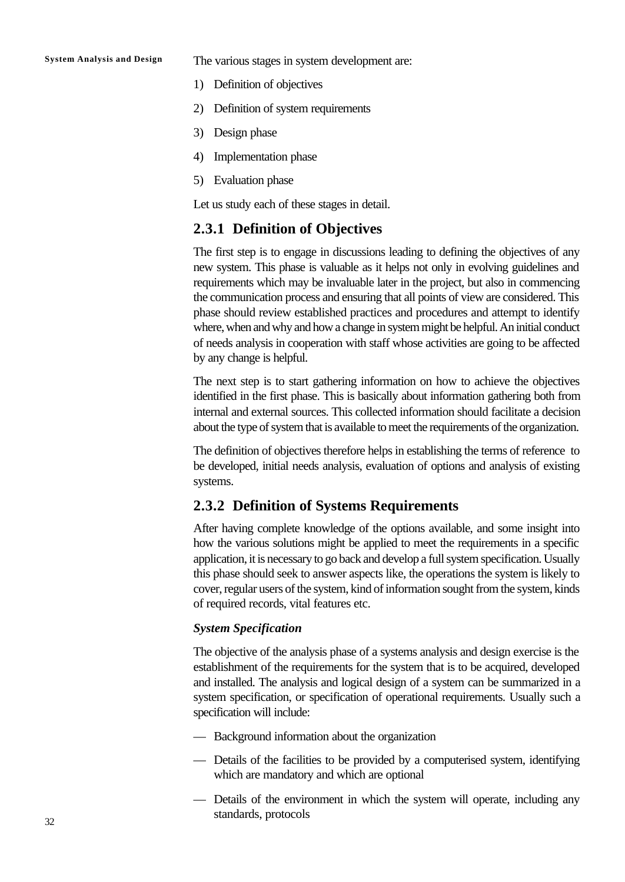**System Analysis and Design** The various stages in system development are:

- 1) Definition of objectives
- 2) Definition of system requirements
- 3) Design phase
- 4) Implementation phase
- 5) Evaluation phase

Let us study each of these stages in detail.

### **2.3.1 Definition of Objectives**

The first step is to engage in discussions leading to defining the objectives of any new system. This phase is valuable as it helps not only in evolving guidelines and requirements which may be invaluable later in the project, but also in commencing the communication process and ensuring that all points of view are considered. This phase should review established practices and procedures and attempt to identify where, when and why and how a change in system might be helpful. An initial conduct of needs analysis in cooperation with staff whose activities are going to be affected by any change is helpful.

The next step is to start gathering information on how to achieve the objectives identified in the first phase. This is basically about information gathering both from internal and external sources. This collected information should facilitate a decision about the type of system that is available to meet the requirements of the organization.

The definition of objectives therefore helps in establishing the terms of reference to be developed, initial needs analysis, evaluation of options and analysis of existing systems.

### **2.3.2 Definition of Systems Requirements**

After having complete knowledge of the options available, and some insight into how the various solutions might be applied to meet the requirements in a specific application, it is necessary to go back and develop a full system specification. Usually this phase should seek to answer aspects like, the operations the system is likely to cover, regular users of the system, kind of information sought from the system, kinds of required records, vital features etc.

### *System Specification*

The objective of the analysis phase of a systems analysis and design exercise is the establishment of the requirements for the system that is to be acquired, developed and installed. The analysis and logical design of a system can be summarized in a system specification, or specification of operational requirements. Usually such a specification will include:

- Background information about the organization
- Details of the facilities to be provided by a computerised system, identifying which are mandatory and which are optional
- Details of the environment in which the system will operate, including any standards, protocols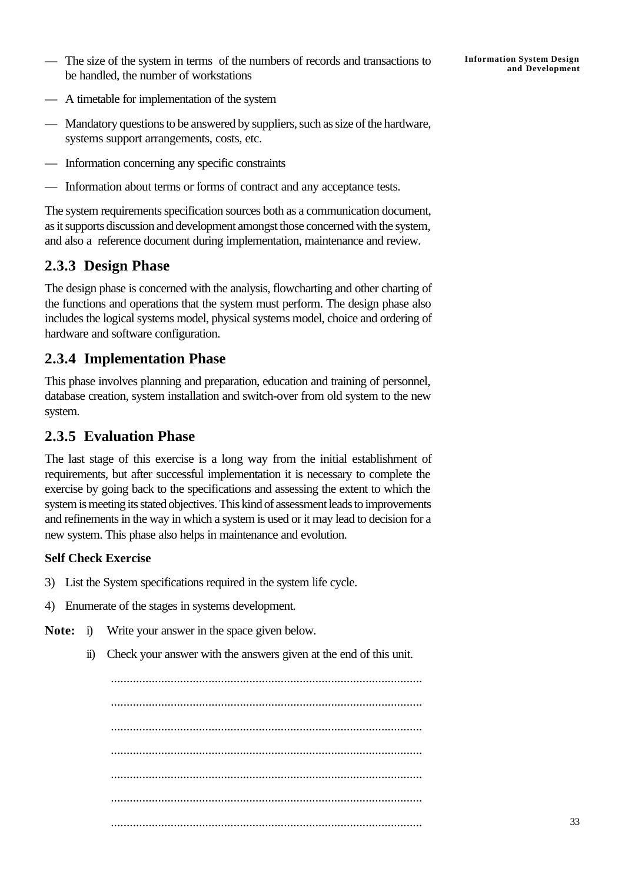The size of the system in terms of the numbers of records and transactions to<br>and Development be handled, the number of workstations

- A timetable for implementation of the system
- Mandatory questions to be answered by suppliers, such as size of the hardware, systems support arrangements, costs, etc.
- Information concerning any specific constraints
- Information about terms or forms of contract and any acceptance tests.

The system requirements specification sources both as a communication document, as it supports discussion and development amongst those concerned with the system, and also a reference document during implementation, maintenance and review.

## **2.3.3 Design Phase**

The design phase is concerned with the analysis, flowcharting and other charting of the functions and operations that the system must perform. The design phase also includes the logical systems model, physical systems model, choice and ordering of hardware and software configuration.

## **2.3.4 Implementation Phase**

This phase involves planning and preparation, education and training of personnel, database creation, system installation and switch-over from old system to the new system.

## **2.3.5 Evaluation Phase**

The last stage of this exercise is a long way from the initial establishment of requirements, but after successful implementation it is necessary to complete the exercise by going back to the specifications and assessing the extent to which the system is meeting its stated objectives. This kind of assessment leads to improvements and refinements in the way in which a system is used or it may lead to decision for a new system. This phase also helps in maintenance and evolution.

### **Self Check Exercise**

- 3) List the System specifications required in the system life cycle.
- 4) Enumerate of the stages in systems development.
- **Note:** i) Write your answer in the space given below.
	- ii) Check your answer with the answers given at the end of this unit.

................................................................................................... ................................................................................................... ................................................................................................... ................................................................................................... ................................................................................................... ................................................................................................... ...................................................................................................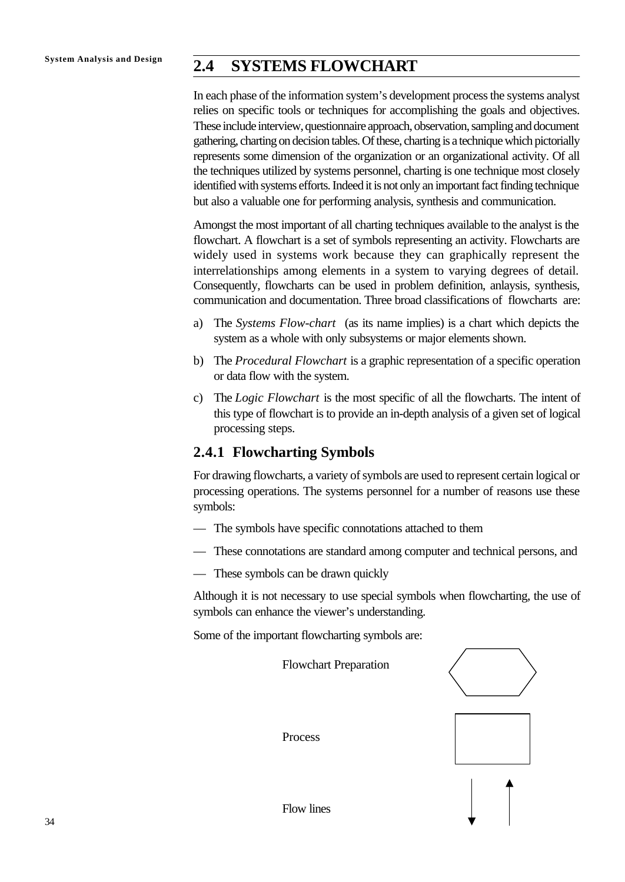# **System Analysis and Design 2.4 SYSTEMS FLOWCHART**

In each phase of the information system's development process the systems analyst relies on specific tools or techniques for accomplishing the goals and objectives. These include interview, questionnaire approach, observation, sampling and document gathering, charting on decision tables. Of these, charting is a technique which pictorially represents some dimension of the organization or an organizational activity. Of all the techniques utilized by systems personnel, charting is one technique most closely identified with systems efforts. Indeed it is not only an important fact finding technique but also a valuable one for performing analysis, synthesis and communication.

Amongst the most important of all charting techniques available to the analyst is the flowchart. A flowchart is a set of symbols representing an activity. Flowcharts are widely used in systems work because they can graphically represent the interrelationships among elements in a system to varying degrees of detail. Consequently, flowcharts can be used in problem definition, anlaysis, synthesis, communication and documentation. Three broad classifications of flowcharts are:

- a) The *Systems Flow-chart* (as its name implies) is a chart which depicts the system as a whole with only subsystems or major elements shown.
- b) The *Procedural Flowchart* is a graphic representation of a specific operation or data flow with the system.
- c) The *Logic Flowchart* is the most specific of all the flowcharts. The intent of this type of flowchart is to provide an in-depth analysis of a given set of logical processing steps.

## **2.4.1 Flowcharting Symbols**

For drawing flowcharts, a variety of symbols are used to represent certain logical or processing operations. The systems personnel for a number of reasons use these symbols:

- The symbols have specific connotations attached to them
- These connotations are standard among computer and technical persons, and
- These symbols can be drawn quickly

Although it is not necessary to use special symbols when flowcharting, the use of symbols can enhance the viewer's understanding.

Some of the important flowcharting symbols are:

Flowchart Preparation Process Flow lines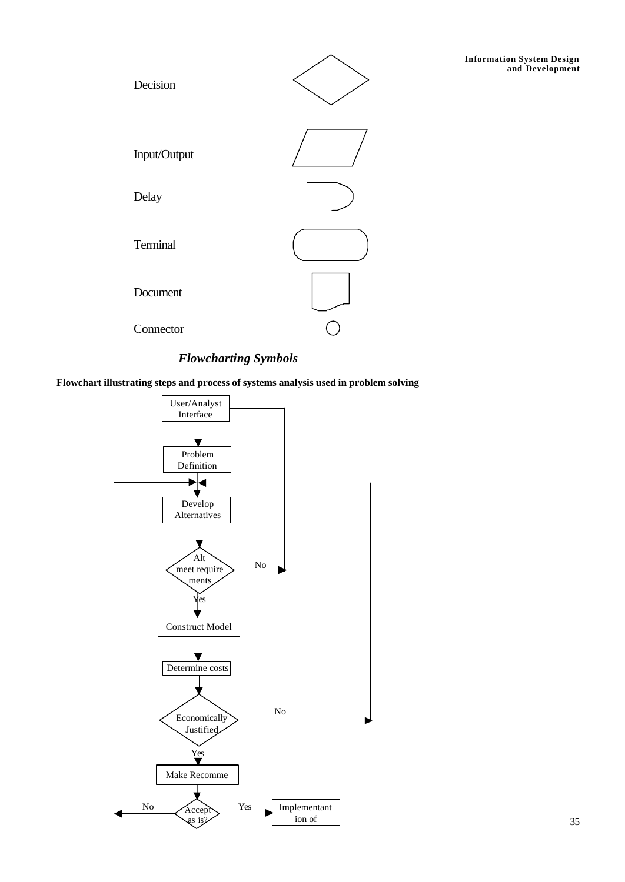

### *Flowcharting Symbols*

**Flowchart illustrating steps and process of systems analysis used in problem solving**

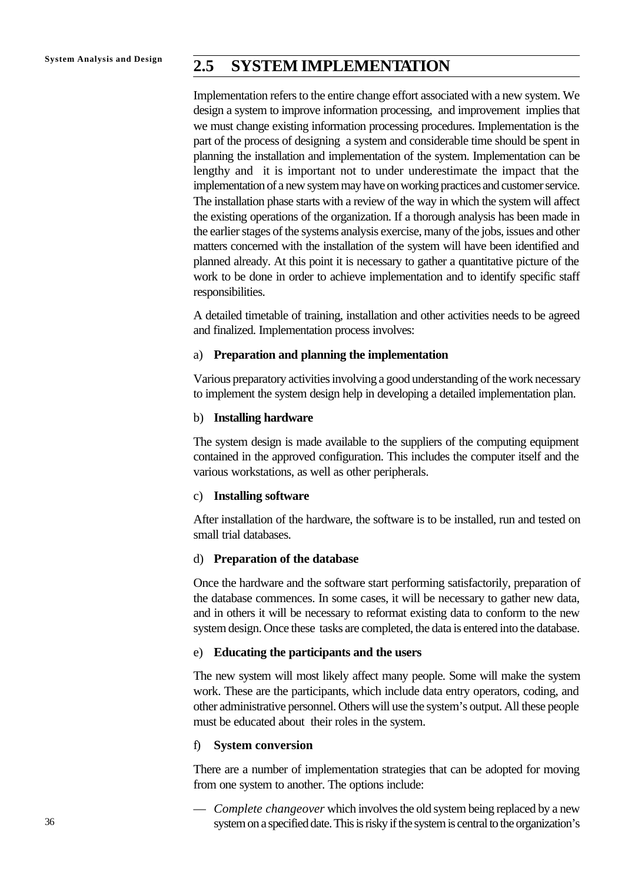# **System Analysis and Design 2.5 SYSTEM IMPLEMENTATION**

Implementation refers to the entire change effort associated with a new system. We design a system to improve information processing, and improvement implies that we must change existing information processing procedures. Implementation is the part of the process of designing a system and considerable time should be spent in planning the installation and implementation of the system. Implementation can be lengthy and it is important not to under underestimate the impact that the implementation of a new system may have on working practices and customer service. The installation phase starts with a review of the way in which the system will affect the existing operations of the organization. If a thorough analysis has been made in the earlier stages of the systems analysis exercise, many of the jobs, issues and other matters concerned with the installation of the system will have been identified and planned already. At this point it is necessary to gather a quantitative picture of the work to be done in order to achieve implementation and to identify specific staff responsibilities.

A detailed timetable of training, installation and other activities needs to be agreed and finalized. Implementation process involves:

### a) **Preparation and planning the implementation**

Various preparatory activities involving a good understanding of the work necessary to implement the system design help in developing a detailed implementation plan.

### b) **Installing hardware**

The system design is made available to the suppliers of the computing equipment contained in the approved configuration. This includes the computer itself and the various workstations, as well as other peripherals.

### c) **Installing software**

After installation of the hardware, the software is to be installed, run and tested on small trial databases.

### d) **Preparation of the database**

Once the hardware and the software start performing satisfactorily, preparation of the database commences. In some cases, it will be necessary to gather new data, and in others it will be necessary to reformat existing data to conform to the new system design. Once these tasks are completed, the data is entered into the database.

### e) **Educating the participants and the users**

The new system will most likely affect many people. Some will make the system work. These are the participants, which include data entry operators, coding, and other administrative personnel. Others will use the system's output. All these people must be educated about their roles in the system.

### f) **System conversion**

There are a number of implementation strategies that can be adopted for moving from one system to another. The options include:

— *Complete changeover* which involves the old system being replaced by a new system on a specified date. This is risky if the system is central to the organization's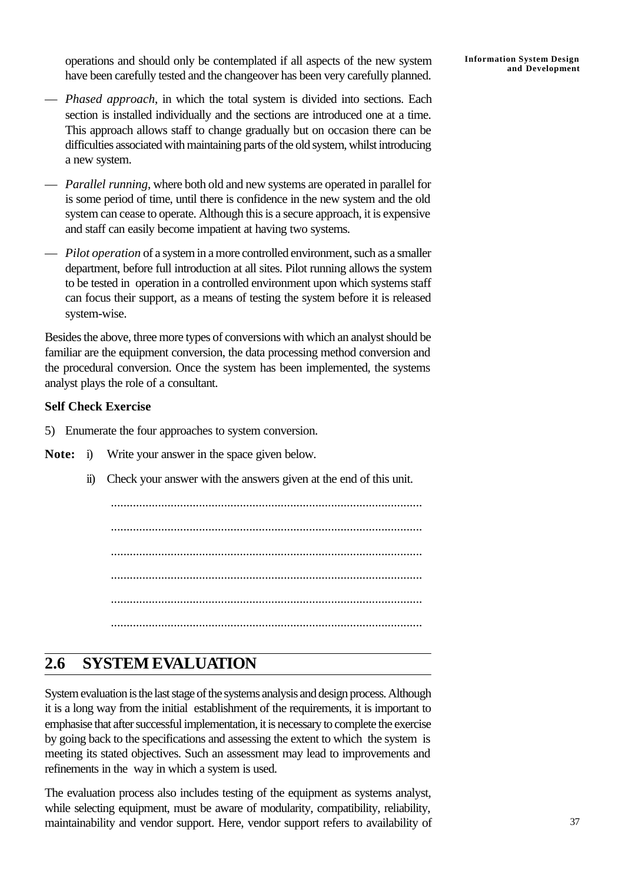operations and should only be contemplated if all aspects of the new system have been carefully tested and the changeover has been very carefully planned.

- *Phased approach*, in which the total system is divided into sections. Each section is installed individually and the sections are introduced one at a time. This approach allows staff to change gradually but on occasion there can be difficulties associated with maintaining parts of the old system, whilst introducing a new system.
- *Parallel running*, where both old and new systems are operated in parallel for is some period of time, until there is confidence in the new system and the old system can cease to operate. Although this is a secure approach, it is expensive and staff can easily become impatient at having two systems.
- *Pilot operation* of a system in a more controlled environment, such as a smaller department, before full introduction at all sites. Pilot running allows the system to be tested in operation in a controlled environment upon which systems staff can focus their support, as a means of testing the system before it is released system-wise.

Besides the above, three more types of conversions with which an analyst should be familiar are the equipment conversion, the data processing method conversion and the procedural conversion. Once the system has been implemented, the systems analyst plays the role of a consultant.

### **Self Check Exercise**

5) Enumerate the four approaches to system conversion.

- **Note:** i) Write your answer in the space given below.
	- ii) Check your answer with the answers given at the end of this unit.

................................................................................................... ................................................................................................... ................................................................................................... ................................................................................................... ................................................................................................... ...................................................................................................

# **2.6 SYSTEM EVALUATION**

System evaluation is the last stage of the systems analysis and design process. Although it is a long way from the initial establishment of the requirements, it is important to emphasise that after successful implementation, it is necessary to complete the exercise by going back to the specifications and assessing the extent to which the system is meeting its stated objectives. Such an assessment may lead to improvements and refinements in the way in which a system is used.

The evaluation process also includes testing of the equipment as systems analyst, while selecting equipment, must be aware of modularity, compatibility, reliability, maintainability and vendor support. Here, vendor support refers to availability of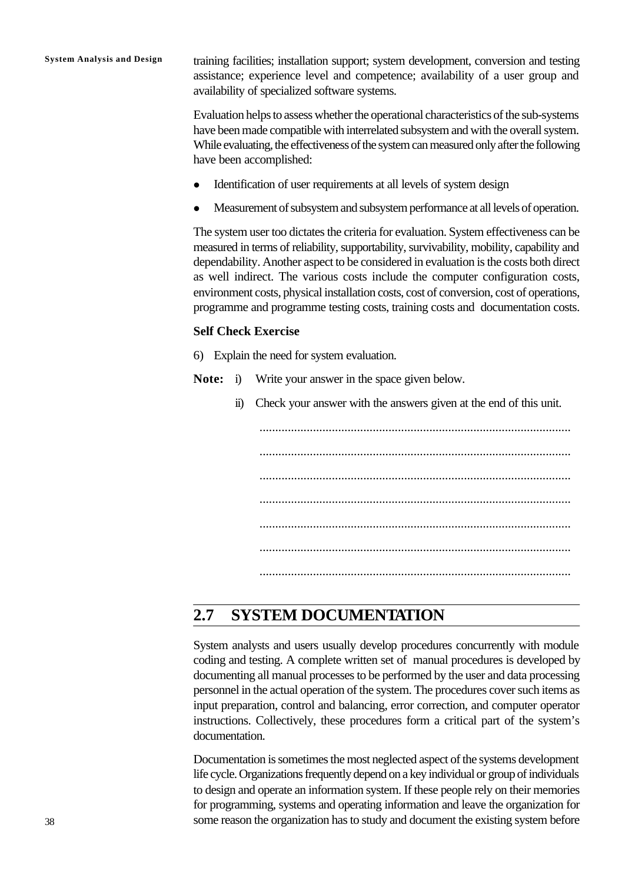**System Analysis and Design** training facilities; installation support; system development, conversion and testing assistance; experience level and competence; availability of a user group and availability of specialized software systems.

> Evaluation helps to assess whether the operational characteristics of the sub-systems have been made compatible with interrelated subsystem and with the overall system. While evaluating, the effectiveness of the system can measured only after the following have been accomplished:

- Identification of user requirements at all levels of system design
- <sup>l</sup> Measurement of subsystem and subsystem performance at all levels of operation.

The system user too dictates the criteria for evaluation. System effectiveness can be measured in terms of reliability, supportability, survivability, mobility, capability and dependability. Another aspect to be considered in evaluation is the costs both direct as well indirect. The various costs include the computer configuration costs, environment costs, physical installation costs, cost of conversion, cost of operations, programme and programme testing costs, training costs and documentation costs.

### **Self Check Exercise**

- 6) Explain the need for system evaluation.
- **Note:** i) Write your answer in the space given below.
	- ii) Check your answer with the answers given at the end of this unit.

................................................................................................... ................................................................................................... ................................................................................................... ................................................................................................... ................................................................................................... ................................................................................................... ...................................................................................................

# **2.7 SYSTEM DOCUMENTATION**

System analysts and users usually develop procedures concurrently with module coding and testing. A complete written set of manual procedures is developed by documenting all manual processes to be performed by the user and data processing personnel in the actual operation of the system. The procedures cover such items as input preparation, control and balancing, error correction, and computer operator instructions. Collectively, these procedures form a critical part of the system's documentation.

Documentation is sometimes the most neglected aspect of the systems development life cycle. Organizations frequently depend on a key individual or group of individuals to design and operate an information system. If these people rely on their memories for programming, systems and operating information and leave the organization for some reason the organization has to study and document the existing system before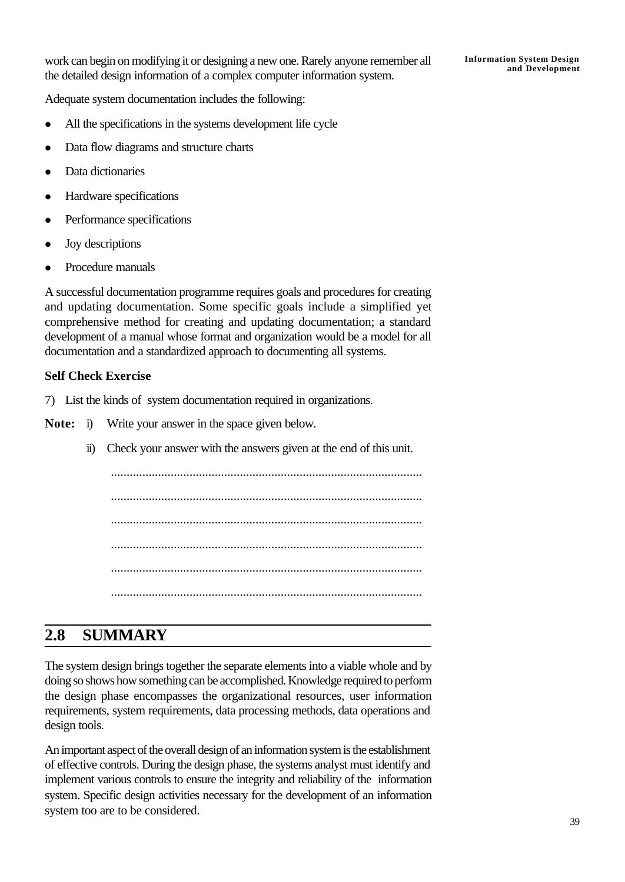Adequate system documentation includes the following:

- All the specifications in the systems development life cycle
- Data flow diagrams and structure charts
- Data dictionaries
- Hardware specifications
- Performance specifications
- $\bullet$  Joy descriptions
- Procedure manuals

A successful documentation programme requires goals and procedures for creating and updating documentation. Some specific goals include a simplified yet comprehensive method for creating and updating documentation; a standard development of a manual whose format and organization would be a model for all documentation and a standardized approach to documenting all systems.

### **Self Check Exercise**

- 7) List the kinds of system documentation required in organizations.
- **Note:** i) Write your answer in the space given below.
	- ii) Check your answer with the answers given at the end of this unit.

................................................................................................... ................................................................................................... ................................................................................................... ................................................................................................... ................................................................................................... ...................................................................................................

# **2.8 SUMMARY**

The system design brings together the separate elements into a viable whole and by doing so shows how something can be accomplished. Knowledge required to perform the design phase encompasses the organizational resources, user information requirements, system requirements, data processing methods, data operations and design tools.

An important aspect of the overall design of an information system is the establishment of effective controls. During the design phase, the systems analyst must identify and implement various controls to ensure the integrity and reliability of the information system. Specific design activities necessary for the development of an information system too are to be considered.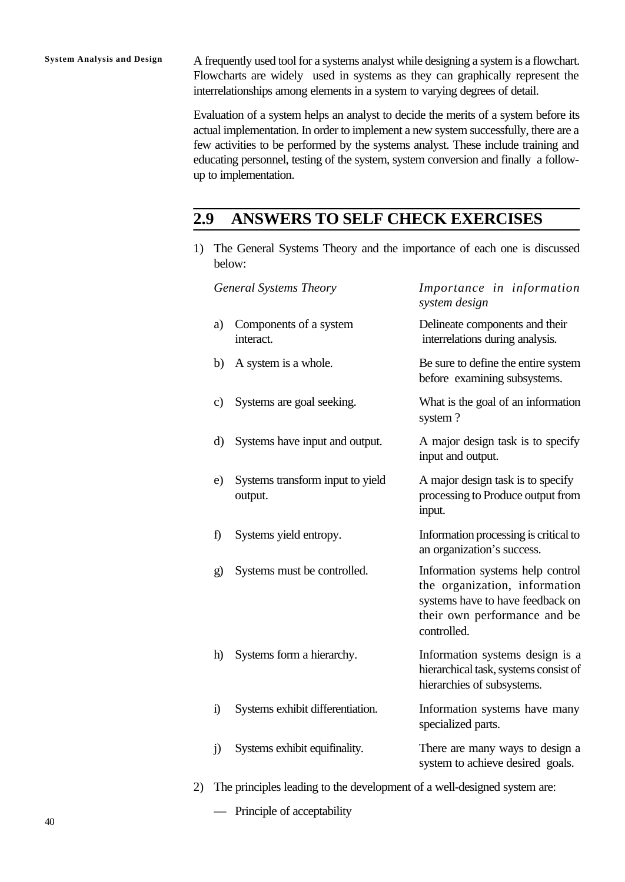**System Analysis and Design** A frequently used tool for a systems analyst while designing a system is a flowchart. Flowcharts are widely used in systems as they can graphically represent the interrelationships among elements in a system to varying degrees of detail.

> Evaluation of a system helps an analyst to decide the merits of a system before its actual implementation. In order to implement a new system successfully, there are a few activities to be performed by the systems analyst. These include training and educating personnel, testing of the system, system conversion and finally a followup to implementation.

# **2.9 ANSWERS TO SELF CHECK EXERCISES**

1) The General Systems Theory and the importance of each one is discussed below:

|    |            | <b>General Systems Theory</b>                                            | Importance in information<br>system design                                                                                                           |  |  |
|----|------------|--------------------------------------------------------------------------|------------------------------------------------------------------------------------------------------------------------------------------------------|--|--|
|    | a)         | Components of a system<br>interact.                                      | Delineate components and their<br>interrelations during analysis.                                                                                    |  |  |
|    | b)         | A system is a whole.                                                     | Be sure to define the entire system<br>before examining subsystems.                                                                                  |  |  |
|    | c)         | Systems are goal seeking.                                                | What is the goal of an information<br>system?                                                                                                        |  |  |
|    | $\rm d)$   | Systems have input and output.                                           | A major design task is to specify<br>input and output.                                                                                               |  |  |
|    | e)         | Systems transform input to yield<br>output.                              | A major design task is to specify<br>processing to Produce output from<br>input.                                                                     |  |  |
|    | f)         | Systems yield entropy.                                                   | Information processing is critical to<br>an organization's success.                                                                                  |  |  |
|    | g)         | Systems must be controlled.                                              | Information systems help control<br>the organization, information<br>systems have to have feedback on<br>their own performance and be<br>controlled. |  |  |
|    | h)         | Systems form a hierarchy.                                                | Information systems design is a<br>hierarchical task, systems consist of<br>hierarchies of subsystems.                                               |  |  |
|    | $\ddot{i}$ | Systems exhibit differentiation.                                         | Information systems have many<br>specialized parts.                                                                                                  |  |  |
|    | j)         | Systems exhibit equifinality.                                            | There are many ways to design a<br>system to achieve desired goals.                                                                                  |  |  |
| 2) |            | The principles leading to the development of a well-designed system are: |                                                                                                                                                      |  |  |

— Principle of acceptability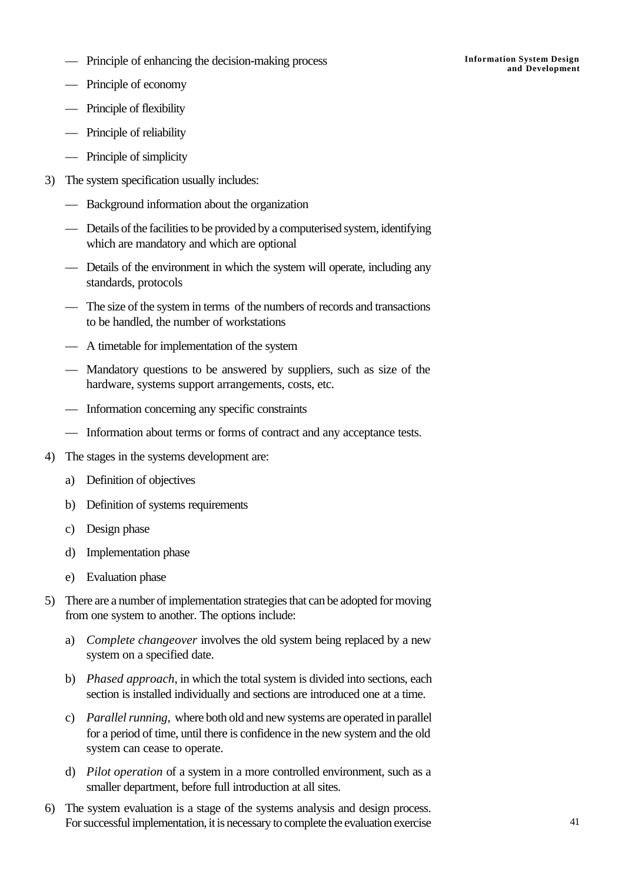**Information System Design** — **and Development** Principle of enhancing the decision-making process

- Principle of economy
- Principle of flexibility
- Principle of reliability
- Principle of simplicity
- 3) The system specification usually includes:
	- Background information about the organization
	- Details of the facilities to be provided by a computerised system, identifying which are mandatory and which are optional
	- Details of the environment in which the system will operate, including any standards, protocols
	- The size of the system in terms of the numbers of records and transactions to be handled, the number of workstations
	- A timetable for implementation of the system
	- Mandatory questions to be answered by suppliers, such as size of the hardware, systems support arrangements, costs, etc.
	- Information concerning any specific constraints
	- Information about terms or forms of contract and any acceptance tests.
- 4) The stages in the systems development are:
	- a) Definition of objectives
	- b) Definition of systems requirements
	- c) Design phase
	- d) Implementation phase
	- e) Evaluation phase
- 5) There are a number of implementation strategies that can be adopted for moving from one system to another. The options include:
	- a) *Complete changeover* involves the old system being replaced by a new system on a specified date.
	- b) *Phased approach*, in which the total system is divided into sections, each section is installed individually and sections are introduced one at a time.
	- c) *Parallel running*, where both old and new systems are operated in parallel for a period of time, until there is confidence in the new system and the old system can cease to operate.
	- d) *Pilot operation* of a system in a more controlled environment, such as a smaller department, before full introduction at all sites.
- 6) The system evaluation is a stage of the systems analysis and design process. For successful implementation, it is necessary to complete the evaluation exercise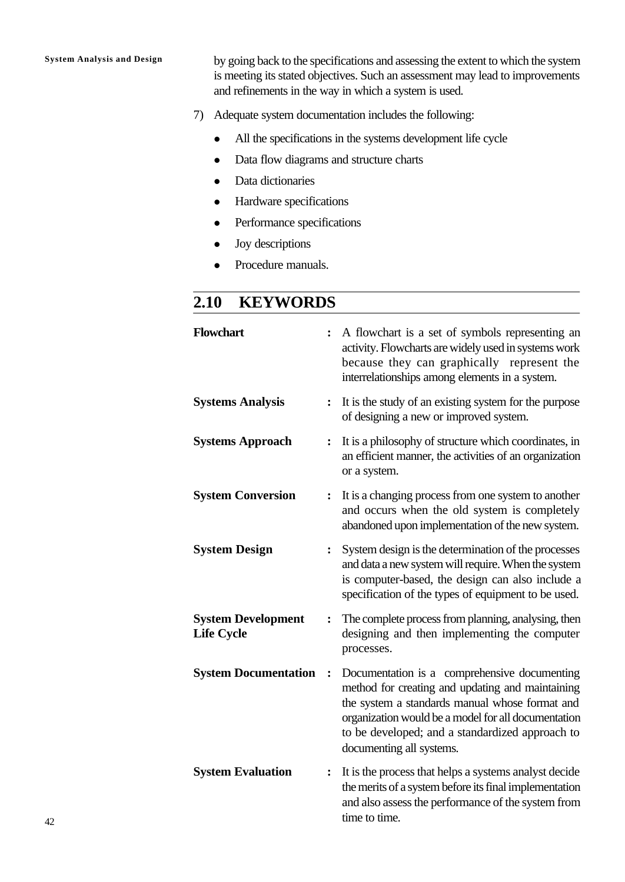**System Analysis and Design** by going back to the specifications and assessing the extent to which the system is meeting its stated objectives. Such an assessment may lead to improvements and refinements in the way in which a system is used.

- 7) Adequate system documentation includes the following:
	- All the specifications in the systems development life cycle
	- Data flow diagrams and structure charts
	- Data dictionaries
	- Hardware specifications
	- Performance specifications
	- $\bullet$  Joy descriptions
	- Procedure manuals.

# **2.10 KEYWORDS**

| <b>Flowchart</b>                               | $\ddot{\cdot}$ | A flowchart is a set of symbols representing an<br>activity. Flowcharts are widely used in systems work<br>because they can graphically represent the<br>interrelationships among elements in a system.                                                                                  |
|------------------------------------------------|----------------|------------------------------------------------------------------------------------------------------------------------------------------------------------------------------------------------------------------------------------------------------------------------------------------|
| <b>Systems Analysis</b>                        | $\ddot{\cdot}$ | It is the study of an existing system for the purpose<br>of designing a new or improved system.                                                                                                                                                                                          |
| <b>Systems Approach</b>                        | :              | It is a philosophy of structure which coordinates, in<br>an efficient manner, the activities of an organization<br>or a system.                                                                                                                                                          |
| <b>System Conversion</b>                       | :              | It is a changing process from one system to another<br>and occurs when the old system is completely<br>abandoned upon implementation of the new system.                                                                                                                                  |
| <b>System Design</b>                           | :              | System design is the determination of the processes<br>and data a new system will require. When the system<br>is computer-based, the design can also include a<br>specification of the types of equipment to be used.                                                                    |
| <b>System Development</b><br><b>Life Cycle</b> | $\ddot{\cdot}$ | The complete process from planning, analysing, then<br>designing and then implementing the computer<br>processes.                                                                                                                                                                        |
| <b>System Documentation</b>                    | $\ddot{\cdot}$ | Documentation is a comprehensive documenting<br>method for creating and updating and maintaining<br>the system a standards manual whose format and<br>organization would be a model for all documentation<br>to be developed; and a standardized approach to<br>documenting all systems. |
| <b>System Evaluation</b>                       | $\ddot{\cdot}$ | It is the process that helps a systems analyst decide<br>the merits of a system before its final implementation<br>and also assess the performance of the system from<br>time to time.                                                                                                   |